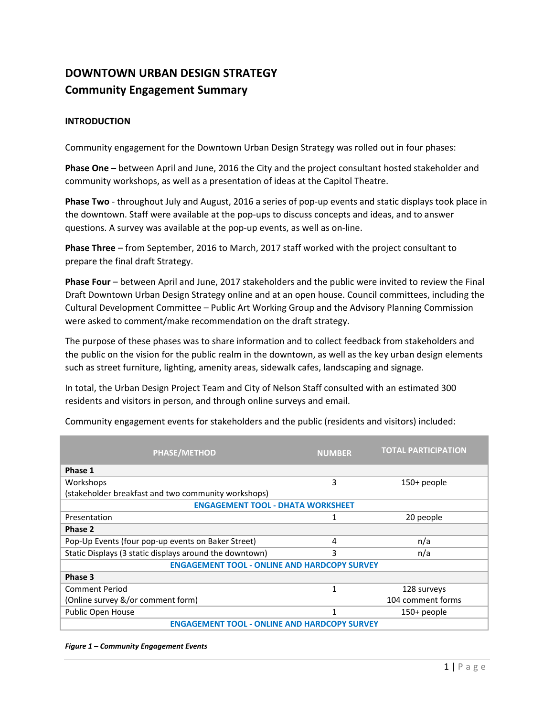# **DOWNTOWN URBAN DESIGN STRATEGY Community Engagement Summary**

### **INTRODUCTION**

Community engagement for the Downtown Urban Design Strategy was rolled out in four phases:

**Phase One** – between April and June, 2016 the City and the project consultant hosted stakeholder and community workshops, as well as a presentation of ideas at the Capitol Theatre.

**Phase Two** ‐ throughout July and August, 2016 a series of pop‐up events and static displays took place in the downtown. Staff were available at the pop‐ups to discuss concepts and ideas, and to answer questions. A survey was available at the pop‐up events, as well as on‐line.

**Phase Three** – from September, 2016 to March, 2017 staff worked with the project consultant to prepare the final draft Strategy.

**Phase Four** – between April and June, 2017 stakeholders and the public were invited to review the Final Draft Downtown Urban Design Strategy online and at an open house. Council committees, including the Cultural Development Committee – Public Art Working Group and the Advisory Planning Commission were asked to comment/make recommendation on the draft strategy.

The purpose of these phases was to share information and to collect feedback from stakeholders and the public on the vision for the public realm in the downtown, as well as the key urban design elements such as street furniture, lighting, amenity areas, sidewalk cafes, landscaping and signage.

In total, the Urban Design Project Team and City of Nelson Staff consulted with an estimated 300 residents and visitors in person, and through online surveys and email.

| <b>PHASE/METHOD</b>                                     | <b>NUMBER</b> | <b>TOTAL PARTICIPATION</b> |  |  |
|---------------------------------------------------------|---------------|----------------------------|--|--|
| Phase 1                                                 |               |                            |  |  |
| Workshops                                               | 3             | $150+$ people              |  |  |
| (stakeholder breakfast and two community workshops)     |               |                            |  |  |
| <b>ENGAGEMENT TOOL - DHATA WORKSHEET</b>                |               |                            |  |  |
| Presentation                                            | 1             | 20 people                  |  |  |
| Phase 2                                                 |               |                            |  |  |
| Pop-Up Events (four pop-up events on Baker Street)      | 4             | n/a                        |  |  |
| Static Displays (3 static displays around the downtown) | 3             | n/a                        |  |  |
| <b>ENGAGEMENT TOOL - ONLINE AND HARDCOPY SURVEY</b>     |               |                            |  |  |
| Phase 3                                                 |               |                            |  |  |
| <b>Comment Period</b>                                   | 1             | 128 surveys                |  |  |
| (Online survey &/or comment form)                       |               | 104 comment forms          |  |  |
| Public Open House                                       | 1             | 150+ people                |  |  |
| <b>ENGAGEMENT TOOL - ONLINE AND HARDCOPY SURVEY</b>     |               |                            |  |  |

Community engagement events for stakeholders and the public (residents and visitors) included:

*Figure 1 – Community Engagement Events*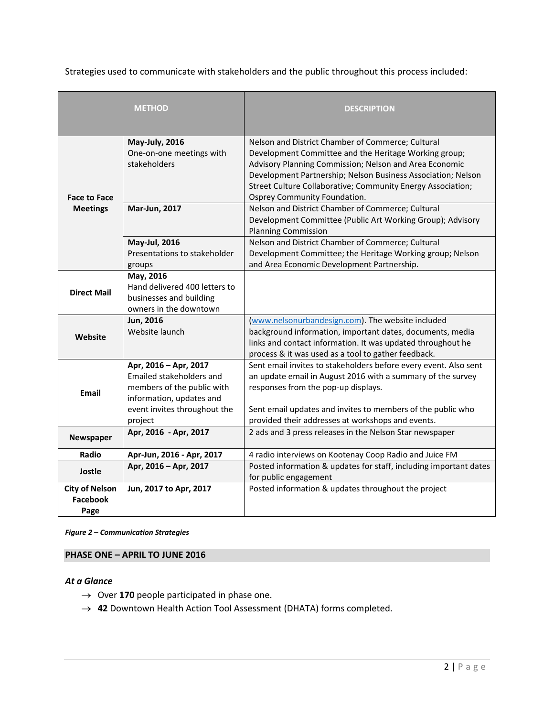Strategies used to communicate with stakeholders and the public throughout this process included:

|                                           | <b>METHOD</b>                                                                                                                                          | <b>DESCRIPTION</b>                                                                                                                                                                                                                                                                                                                  |
|-------------------------------------------|--------------------------------------------------------------------------------------------------------------------------------------------------------|-------------------------------------------------------------------------------------------------------------------------------------------------------------------------------------------------------------------------------------------------------------------------------------------------------------------------------------|
| <b>Face to Face</b>                       | <b>May-July, 2016</b><br>One-on-one meetings with<br>stakeholders                                                                                      | Nelson and District Chamber of Commerce; Cultural<br>Development Committee and the Heritage Working group;<br>Advisory Planning Commission; Nelson and Area Economic<br>Development Partnership; Nelson Business Association; Nelson<br>Street Culture Collaborative; Community Energy Association;<br>Osprey Community Foundation. |
| <b>Meetings</b>                           | Mar-Jun, 2017                                                                                                                                          | Nelson and District Chamber of Commerce; Cultural<br>Development Committee (Public Art Working Group); Advisory<br><b>Planning Commission</b>                                                                                                                                                                                       |
|                                           | May-Jul, 2016<br>Presentations to stakeholder<br>groups                                                                                                | Nelson and District Chamber of Commerce; Cultural<br>Development Committee; the Heritage Working group; Nelson<br>and Area Economic Development Partnership.                                                                                                                                                                        |
| <b>Direct Mail</b>                        | May, 2016<br>Hand delivered 400 letters to<br>businesses and building<br>owners in the downtown                                                        |                                                                                                                                                                                                                                                                                                                                     |
| Website                                   | Jun, 2016<br>Website launch                                                                                                                            | (www.nelsonurbandesign.com). The website included<br>background information, important dates, documents, media<br>links and contact information. It was updated throughout he<br>process & it was used as a tool to gather feedback.                                                                                                |
| <b>Email</b>                              | Apr, 2016 - Apr, 2017<br>Emailed stakeholders and<br>members of the public with<br>information, updates and<br>event invites throughout the<br>project | Sent email invites to stakeholders before every event. Also sent<br>an update email in August 2016 with a summary of the survey<br>responses from the pop-up displays.<br>Sent email updates and invites to members of the public who<br>provided their addresses at workshops and events.                                          |
| Newspaper                                 | Apr, 2016 - Apr, 2017                                                                                                                                  | 2 ads and 3 press releases in the Nelson Star newspaper                                                                                                                                                                                                                                                                             |
| Radio                                     | Apr-Jun, 2016 - Apr, 2017                                                                                                                              | 4 radio interviews on Kootenay Coop Radio and Juice FM                                                                                                                                                                                                                                                                              |
| Jostle                                    | Apr, 2016 - Apr, 2017                                                                                                                                  | Posted information & updates for staff, including important dates<br>for public engagement                                                                                                                                                                                                                                          |
| <b>City of Nelson</b><br>Facebook<br>Page | Jun, 2017 to Apr, 2017                                                                                                                                 | Posted information & updates throughout the project                                                                                                                                                                                                                                                                                 |

*Figure 2 – Communication Strategies* 

### **PHASE ONE – APRIL TO JUNE 2016**

#### *At a Glance*

- $\rightarrow$  Over 170 people participated in phase one.
- → 42 Downtown Health Action Tool Assessment (DHATA) forms completed.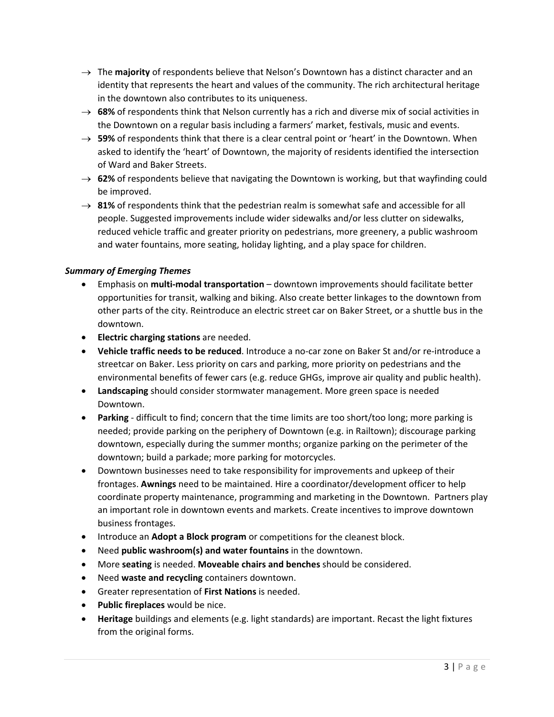- $\rightarrow$  The **majority** of respondents believe that Nelson's Downtown has a distinct character and an identity that represents the heart and values of the community. The rich architectural heritage in the downtown also contributes to its uniqueness.
- $\rightarrow$  68% of respondents think that Nelson currently has a rich and diverse mix of social activities in the Downtown on a regular basis including a farmers' market, festivals, music and events.
- $\rightarrow$  59% of respondents think that there is a clear central point or 'heart' in the Downtown. When asked to identify the 'heart' of Downtown, the majority of residents identified the intersection of Ward and Baker Streets.
- → **62%** of respondents believe that navigating the Downtown is working, but that wayfinding could be improved.
- **81%** of respondents think that the pedestrian realm is somewhat safe and accessible for all people. Suggested improvements include wider sidewalks and/or less clutter on sidewalks, reduced vehicle traffic and greater priority on pedestrians, more greenery, a public washroom and water fountains, more seating, holiday lighting, and a play space for children.

### *Summary of Emerging Themes*

- Emphasis on **multi‐modal transportation** downtown improvements should facilitate better opportunities for transit, walking and biking. Also create better linkages to the downtown from other parts of the city. Reintroduce an electric street car on Baker Street, or a shuttle bus in the downtown.
- **Electric charging stations** are needed.
- **Vehicle traffic needs to be reduced**. Introduce a no‐car zone on Baker St and/or re‐introduce a streetcar on Baker. Less priority on cars and parking, more priority on pedestrians and the environmental benefits of fewer cars (e.g. reduce GHGs, improve air quality and public health).
- **Landscaping** should consider stormwater management. More green space is needed Downtown.
- **Parking** difficult to find; concern that the time limits are too short/too long; more parking is needed; provide parking on the periphery of Downtown (e.g. in Railtown); discourage parking downtown, especially during the summer months; organize parking on the perimeter of the downtown; build a parkade; more parking for motorcycles.
- Downtown businesses need to take responsibility for improvements and upkeep of their frontages. **Awnings** need to be maintained. Hire a coordinator/development officer to help coordinate property maintenance, programming and marketing in the Downtown. Partners play an important role in downtown events and markets. Create incentives to improve downtown business frontages.
- Introduce an **Adopt a Block program** or competitions for the cleanest block.
- Need **public washroom(s) and water fountains** in the downtown.
- More **seating** is needed. **Moveable chairs and benches** should be considered.
- Need **waste and recycling** containers downtown.
- Greater representation of **First Nations** is needed.
- **Public fireplaces** would be nice.
- **Heritage** buildings and elements (e.g. light standards) are important. Recast the light fixtures from the original forms.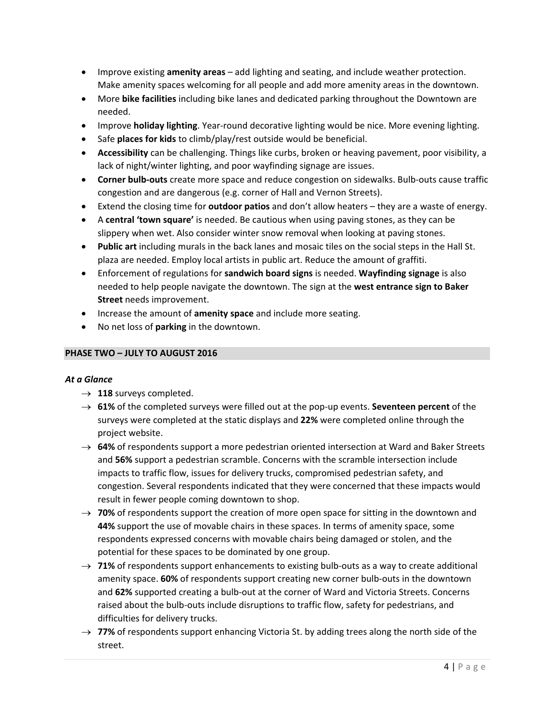- Improve existing **amenity areas** add lighting and seating, and include weather protection. Make amenity spaces welcoming for all people and add more amenity areas in the downtown.
- More **bike facilities** including bike lanes and dedicated parking throughout the Downtown are needed.
- Improve **holiday lighting**. Year-round decorative lighting would be nice. More evening lighting.
- Safe **places for kids** to climb/play/rest outside would be beneficial.
- **Accessibility** can be challenging. Things like curbs, broken or heaving pavement, poor visibility, a lack of night/winter lighting, and poor wayfinding signage are issues.
- **Corner bulb‐outs** create more space and reduce congestion on sidewalks. Bulb‐outs cause traffic congestion and are dangerous (e.g. corner of Hall and Vernon Streets).
- Extend the closing time for **outdoor patios** and don't allow heaters they are a waste of energy.
- A **central 'town square'** is needed. Be cautious when using paving stones, as they can be slippery when wet. Also consider winter snow removal when looking at paving stones.
- **Public art** including murals in the back lanes and mosaic tiles on the social steps in the Hall St. plaza are needed. Employ local artists in public art. Reduce the amount of graffiti.
- Enforcement of regulations for **sandwich board signs** is needed. **Wayfinding signage** is also needed to help people navigate the downtown. The sign at the **west entrance sign to Baker Street** needs improvement.
- Increase the amount of **amenity space** and include more seating.
- No net loss of **parking** in the downtown.

### **PHASE TWO – JULY TO AUGUST 2016**

#### *At a Glance*

- $\rightarrow$  118 surveys completed.
- **61%** of the completed surveys were filled out at the pop‐up events. **Seventeen percent** of the surveys were completed at the static displays and **22%** were completed online through the project website.
- → **64%** of respondents support a more pedestrian oriented intersection at Ward and Baker Streets and **56%** support a pedestrian scramble. Concerns with the scramble intersection include impacts to traffic flow, issues for delivery trucks, compromised pedestrian safety, and congestion. Several respondents indicated that they were concerned that these impacts would result in fewer people coming downtown to shop.
- → **70%** of respondents support the creation of more open space for sitting in the downtown and **44%** support the use of movable chairs in these spaces. In terms of amenity space, some respondents expressed concerns with movable chairs being damaged or stolen, and the potential for these spaces to be dominated by one group.
- → **71%** of respondents support enhancements to existing bulb-outs as a way to create additional amenity space. 60% of respondents support creating new corner bulb-outs in the downtown and **62%** supported creating a bulb‐out at the corner of Ward and Victoria Streets. Concerns raised about the bulb-outs include disruptions to traffic flow, safety for pedestrians, and difficulties for delivery trucks.
- $\rightarrow$  77% of respondents support enhancing Victoria St. by adding trees along the north side of the street.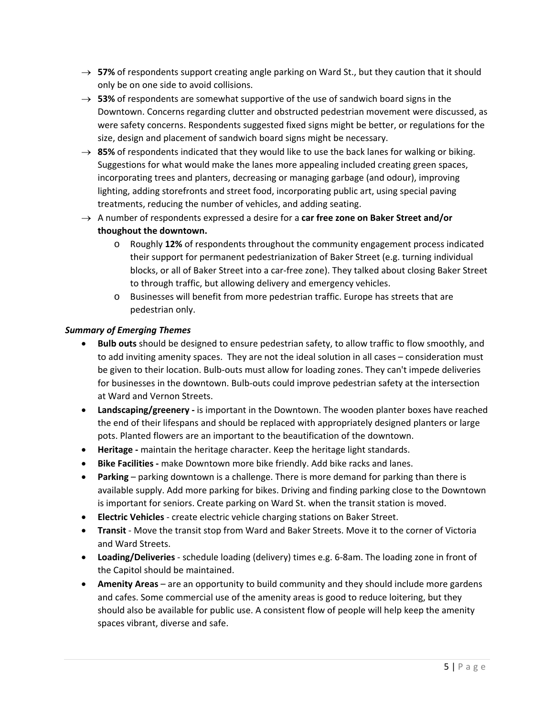- → 57% of respondents support creating angle parking on Ward St., but they caution that it should only be on one side to avoid collisions.
- → **53%** of respondents are somewhat supportive of the use of sandwich board signs in the Downtown. Concerns regarding clutter and obstructed pedestrian movement were discussed, as were safety concerns. Respondents suggested fixed signs might be better, or regulations for the size, design and placement of sandwich board signs might be necessary.
- $\rightarrow$  85% of respondents indicated that they would like to use the back lanes for walking or biking. Suggestions for what would make the lanes more appealing included creating green spaces, incorporating trees and planters, decreasing or managing garbage (and odour), improving lighting, adding storefronts and street food, incorporating public art, using special paving treatments, reducing the number of vehicles, and adding seating.
- A number of respondents expressed a desire for a **car free zone on Baker Street and/or thoughout the downtown.**
	- o Roughly **12%** of respondents throughout the community engagement process indicated their support for permanent pedestrianization of Baker Street (e.g. turning individual blocks, or all of Baker Street into a car‐free zone). They talked about closing Baker Street to through traffic, but allowing delivery and emergency vehicles.
	- o Businesses will benefit from more pedestrian traffic. Europe has streets that are pedestrian only.

### *Summary of Emerging Themes*

- **Bulb outs** should be designed to ensure pedestrian safety, to allow traffic to flow smoothly, and to add inviting amenity spaces. They are not the ideal solution in all cases – consideration must be given to their location. Bulb-outs must allow for loading zones. They can't impede deliveries for businesses in the downtown. Bulb-outs could improve pedestrian safety at the intersection at Ward and Vernon Streets.
- **Landscaping/greenery ‐** is important in the Downtown. The wooden planter boxes have reached the end of their lifespans and should be replaced with appropriately designed planters or large pots. Planted flowers are an important to the beautification of the downtown.
- **Heritage ‐** maintain the heritage character. Keep the heritage light standards.
- **Bike Facilities ‐** make Downtown more bike friendly. Add bike racks and lanes.
- **Parking** parking downtown is a challenge. There is more demand for parking than there is available supply. Add more parking for bikes. Driving and finding parking close to the Downtown is important for seniors. Create parking on Ward St. when the transit station is moved.
- **Electric Vehicles** ‐ create electric vehicle charging stations on Baker Street.
- **Transit** ‐ Move the transit stop from Ward and Baker Streets. Move it to the corner of Victoria and Ward Streets.
- **Loading/Deliveries** ‐ schedule loading (delivery) times e.g. 6‐8am. The loading zone in front of the Capitol should be maintained.
- **Amenity Areas** are an opportunity to build community and they should include more gardens and cafes. Some commercial use of the amenity areas is good to reduce loitering, but they should also be available for public use. A consistent flow of people will help keep the amenity spaces vibrant, diverse and safe.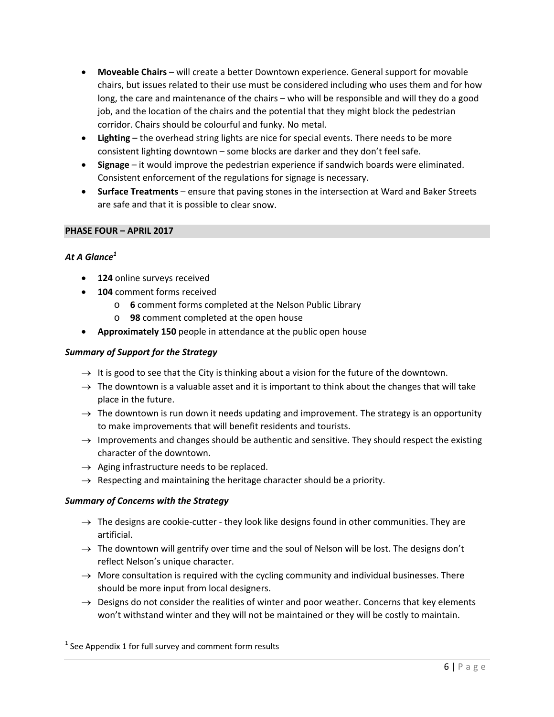- **Moveable Chairs** will create a better Downtown experience. General support for movable chairs, but issues related to their use must be considered including who uses them and for how long, the care and maintenance of the chairs – who will be responsible and will they do a good job, and the location of the chairs and the potential that they might block the pedestrian corridor. Chairs should be colourful and funky. No metal.
- **Lighting** the overhead string lights are nice for special events. There needs to be more consistent lighting downtown – some blocks are darker and they don't feel safe.
- **Signage** it would improve the pedestrian experience if sandwich boards were eliminated. Consistent enforcement of the regulations for signage is necessary.
- **Surface Treatments** ensure that paving stones in the intersection at Ward and Baker Streets are safe and that it is possible to clear snow.

#### **PHASE FOUR – APRIL 2017**

### *At A Glance<sup>1</sup>*

- **124** online surveys received
- **104** comment forms received
	- o **6** comment forms completed at the Nelson Public Library
	- o **98** comment completed at the open house
- **Approximately 150** people in attendance at the public open house

#### *Summary of Support for the Strategy*

- $\rightarrow$  It is good to see that the City is thinking about a vision for the future of the downtown.
- $\rightarrow$  The downtown is a valuable asset and it is important to think about the changes that will take place in the future.
- $\rightarrow$  The downtown is run down it needs updating and improvement. The strategy is an opportunity to make improvements that will benefit residents and tourists.
- $\rightarrow$  Improvements and changes should be authentic and sensitive. They should respect the existing character of the downtown.
- $\rightarrow$  Aging infrastructure needs to be replaced.
- $\rightarrow$  Respecting and maintaining the heritage character should be a priority.

#### *Summary of Concerns with the Strategy*

- $\rightarrow$  The designs are cookie-cutter they look like designs found in other communities. They are artificial.
- $\rightarrow$  The downtown will gentrify over time and the soul of Nelson will be lost. The designs don't reflect Nelson's unique character.
- $\rightarrow$  More consultation is required with the cycling community and individual businesses. There should be more input from local designers.
- $\rightarrow$  Designs do not consider the realities of winter and poor weather. Concerns that key elements won't withstand winter and they will not be maintained or they will be costly to maintain.

 $1$  See Appendix 1 for full survey and comment form results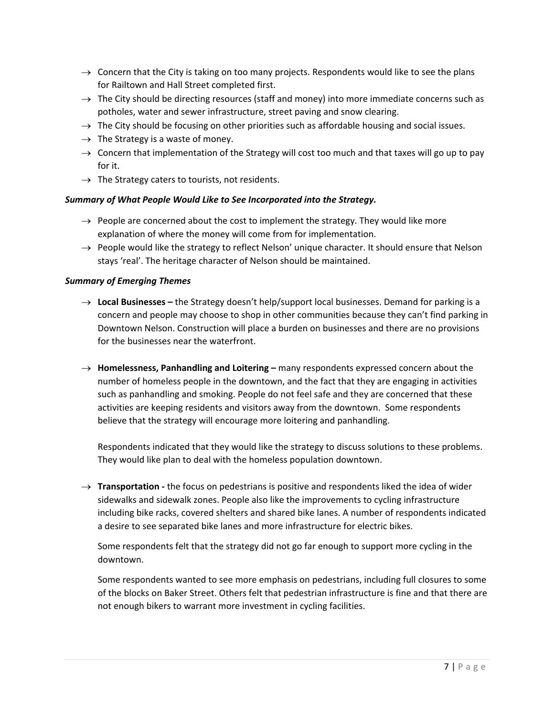- $\rightarrow$  Concern that the City is taking on too many projects. Respondents would like to see the plans for Railtown and Hall Street completed first.
- $\rightarrow$  The City should be directing resources (staff and money) into more immediate concerns such as potholes, water and sewer infrastructure, street paving and snow clearing.
- $\rightarrow$  The City should be focusing on other priorities such as affordable housing and social issues.
- $\rightarrow$  The Strategy is a waste of money.
- $\rightarrow$  Concern that implementation of the Strategy will cost too much and that taxes will go up to pay for it.
- $\rightarrow$  The Strategy caters to tourists, not residents.

#### *Summary of What People Would Like to See Incorporated into the Strategy.*

- $\rightarrow$  People are concerned about the cost to implement the strategy. They would like more explanation of where the money will come from for implementation.
- $\rightarrow$  People would like the strategy to reflect Nelson' unique character. It should ensure that Nelson stays 'real'. The heritage character of Nelson should be maintained.

#### *Summary of Emerging Themes*

- **Local Businesses –** the Strategy doesn't help/support local businesses. Demand for parking is a concern and people may choose to shop in other communities because they can't find parking in Downtown Nelson. Construction will place a burden on businesses and there are no provisions for the businesses near the waterfront.
- **Homelessness, Panhandling and Loitering –** many respondents expressed concern about the number of homeless people in the downtown, and the fact that they are engaging in activities such as panhandling and smoking. People do not feel safe and they are concerned that these activities are keeping residents and visitors away from the downtown. Some respondents believe that the strategy will encourage more loitering and panhandling.

Respondents indicated that they would like the strategy to discuss solutions to these problems. They would like plan to deal with the homeless population downtown.

→ **Transportation** - the focus on pedestrians is positive and respondents liked the idea of wider sidewalks and sidewalk zones. People also like the improvements to cycling infrastructure including bike racks, covered shelters and shared bike lanes. A number of respondents indicated a desire to see separated bike lanes and more infrastructure for electric bikes.

Some respondents felt that the strategy did not go far enough to support more cycling in the downtown.

Some respondents wanted to see more emphasis on pedestrians, including full closures to some of the blocks on Baker Street. Others felt that pedestrian infrastructure is fine and that there are not enough bikers to warrant more investment in cycling facilities.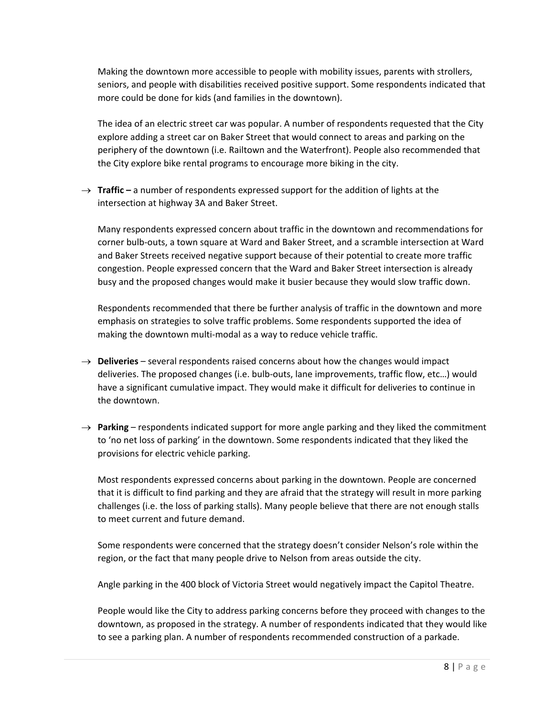Making the downtown more accessible to people with mobility issues, parents with strollers, seniors, and people with disabilities received positive support. Some respondents indicated that more could be done for kids (and families in the downtown).

The idea of an electric street car was popular. A number of respondents requested that the City explore adding a street car on Baker Street that would connect to areas and parking on the periphery of the downtown (i.e. Railtown and the Waterfront). People also recommended that the City explore bike rental programs to encourage more biking in the city.

→ **Traffic** – a number of respondents expressed support for the addition of lights at the intersection at highway 3A and Baker Street.

Many respondents expressed concern about traffic in the downtown and recommendations for corner bulb‐outs, a town square at Ward and Baker Street, and a scramble intersection at Ward and Baker Streets received negative support because of their potential to create more traffic congestion. People expressed concern that the Ward and Baker Street intersection is already busy and the proposed changes would make it busier because they would slow traffic down.

Respondents recommended that there be further analysis of traffic in the downtown and more emphasis on strategies to solve traffic problems. Some respondents supported the idea of making the downtown multi‐modal as a way to reduce vehicle traffic.

- $\rightarrow$  **Deliveries** several respondents raised concerns about how the changes would impact deliveries. The proposed changes (i.e. bulb‐outs, lane improvements, traffic flow, etc…) would have a significant cumulative impact. They would make it difficult for deliveries to continue in the downtown.
- $\rightarrow$  Parking respondents indicated support for more angle parking and they liked the commitment to 'no net loss of parking' in the downtown. Some respondents indicated that they liked the provisions for electric vehicle parking.

Most respondents expressed concerns about parking in the downtown. People are concerned that it is difficult to find parking and they are afraid that the strategy will result in more parking challenges (i.e. the loss of parking stalls). Many people believe that there are not enough stalls to meet current and future demand.

Some respondents were concerned that the strategy doesn't consider Nelson's role within the region, or the fact that many people drive to Nelson from areas outside the city.

Angle parking in the 400 block of Victoria Street would negatively impact the Capitol Theatre.

People would like the City to address parking concerns before they proceed with changes to the downtown, as proposed in the strategy. A number of respondents indicated that they would like to see a parking plan. A number of respondents recommended construction of a parkade.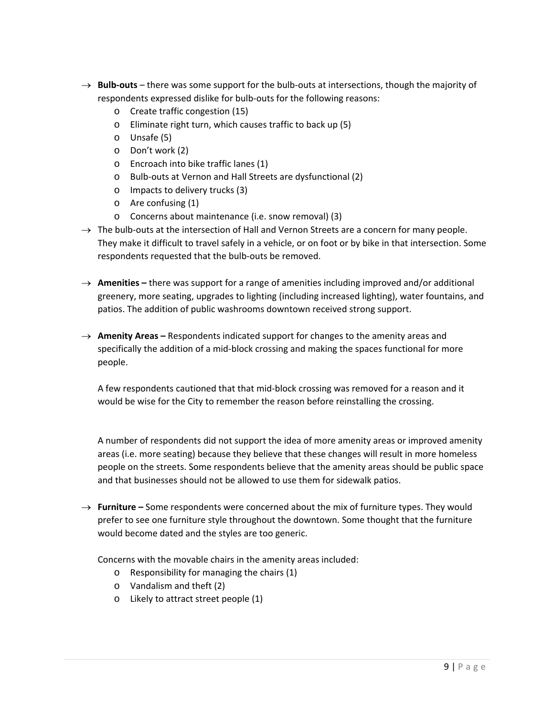- → **Bulb-outs** there was some support for the bulb-outs at intersections, though the majority of respondents expressed dislike for bulb‐outs for the following reasons:
	- o Create traffic congestion (15)
	- o Eliminate right turn, which causes traffic to back up (5)
	- o Unsafe (5)
	- o Don't work (2)
	- o Encroach into bike traffic lanes (1)
	- o Bulb‐outs at Vernon and Hall Streets are dysfunctional (2)
	- o Impacts to delivery trucks (3)
	- o Are confusing (1)
	- o Concerns about maintenance (i.e. snow removal) (3)
- $\rightarrow$  The bulb-outs at the intersection of Hall and Vernon Streets are a concern for many people. They make it difficult to travel safely in a vehicle, or on foot or by bike in that intersection. Some respondents requested that the bulb‐outs be removed.
- → **Amenities** there was support for a range of amenities including improved and/or additional greenery, more seating, upgrades to lighting (including increased lighting), water fountains, and patios. The addition of public washrooms downtown received strong support.
- $\rightarrow$  **Amenity Areas** Respondents indicated support for changes to the amenity areas and specifically the addition of a mid-block crossing and making the spaces functional for more people.

A few respondents cautioned that that mid‐block crossing was removed for a reason and it would be wise for the City to remember the reason before reinstalling the crossing.

A number of respondents did not support the idea of more amenity areas or improved amenity areas (i.e. more seating) because they believe that these changes will result in more homeless people on the streets. Some respondents believe that the amenity areas should be public space and that businesses should not be allowed to use them for sidewalk patios.

→ **Furniture** – Some respondents were concerned about the mix of furniture types. They would prefer to see one furniture style throughout the downtown. Some thought that the furniture would become dated and the styles are too generic.

Concerns with the movable chairs in the amenity areas included:

- o Responsibility for managing the chairs (1)
- o Vandalism and theft (2)
- o Likely to attract street people (1)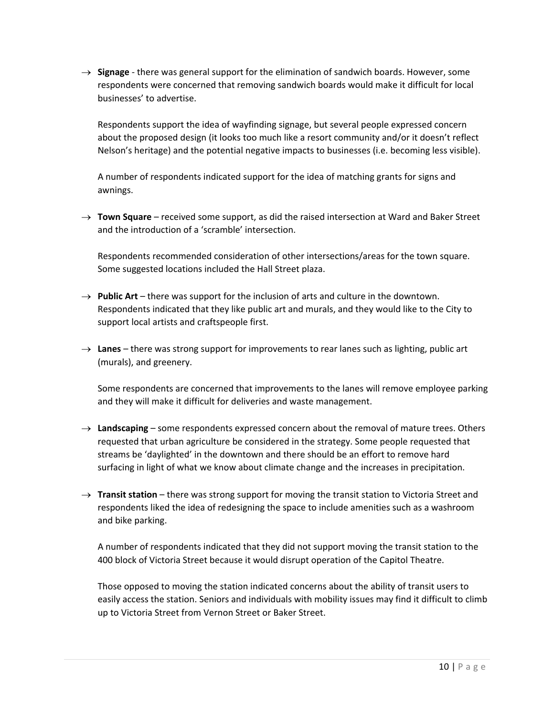$\rightarrow$  **Signage** - there was general support for the elimination of sandwich boards. However, some respondents were concerned that removing sandwich boards would make it difficult for local businesses' to advertise.

Respondents support the idea of wayfinding signage, but several people expressed concern about the proposed design (it looks too much like a resort community and/or it doesn't reflect Nelson's heritage) and the potential negative impacts to businesses (i.e. becoming less visible).

A number of respondents indicated support for the idea of matching grants for signs and awnings.

 $\rightarrow$  **Town Square** – received some support, as did the raised intersection at Ward and Baker Street and the introduction of a 'scramble' intersection.

Respondents recommended consideration of other intersections/areas for the town square. Some suggested locations included the Hall Street plaza.

- $\rightarrow$  **Public Art** there was support for the inclusion of arts and culture in the downtown. Respondents indicated that they like public art and murals, and they would like to the City to support local artists and craftspeople first.
- $\rightarrow$  Lanes there was strong support for improvements to rear lanes such as lighting, public art (murals), and greenery.

Some respondents are concerned that improvements to the lanes will remove employee parking and they will make it difficult for deliveries and waste management.

- $\rightarrow$  Landscaping some respondents expressed concern about the removal of mature trees. Others requested that urban agriculture be considered in the strategy. Some people requested that streams be 'daylighted' in the downtown and there should be an effort to remove hard surfacing in light of what we know about climate change and the increases in precipitation.
- $\rightarrow$  **Transit station** there was strong support for moving the transit station to Victoria Street and respondents liked the idea of redesigning the space to include amenities such as a washroom and bike parking.

A number of respondents indicated that they did not support moving the transit station to the 400 block of Victoria Street because it would disrupt operation of the Capitol Theatre.

Those opposed to moving the station indicated concerns about the ability of transit users to easily access the station. Seniors and individuals with mobility issues may find it difficult to climb up to Victoria Street from Vernon Street or Baker Street.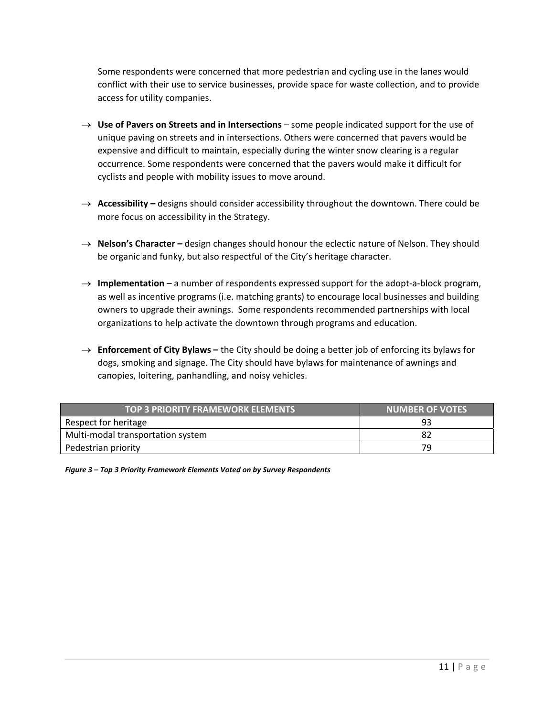Some respondents were concerned that more pedestrian and cycling use in the lanes would conflict with their use to service businesses, provide space for waste collection, and to provide access for utility companies.

- **Use of Pavers on Streets and in Intersections** some people indicated support for the use of unique paving on streets and in intersections. Others were concerned that pavers would be expensive and difficult to maintain, especially during the winter snow clearing is a regular occurrence. Some respondents were concerned that the pavers would make it difficult for cyclists and people with mobility issues to move around.
- → **Accessibility** designs should consider accessibility throughout the downtown. There could be more focus on accessibility in the Strategy.
- **Nelson's Character –** design changes should honour the eclectic nature of Nelson. They should be organic and funky, but also respectful of the City's heritage character.
- → **Implementation** a number of respondents expressed support for the adopt-a-block program, as well as incentive programs (i.e. matching grants) to encourage local businesses and building owners to upgrade their awnings. Some respondents recommended partnerships with local organizations to help activate the downtown through programs and education.
- $\rightarrow$  **Enforcement of City Bylaws** the City should be doing a better job of enforcing its bylaws for dogs, smoking and signage. The City should have bylaws for maintenance of awnings and canopies, loitering, panhandling, and noisy vehicles.

| TOP 3 PRIORITY FRAMEWORK ELEMENTS | <b>NUMBER OF VOTES</b> |
|-----------------------------------|------------------------|
| Respect for heritage              | 93                     |
| Multi-modal transportation system |                        |
| Pedestrian priority               | 79                     |

*Figure 3 – Top 3 Priority Framework Elements Voted on by Survey Respondents*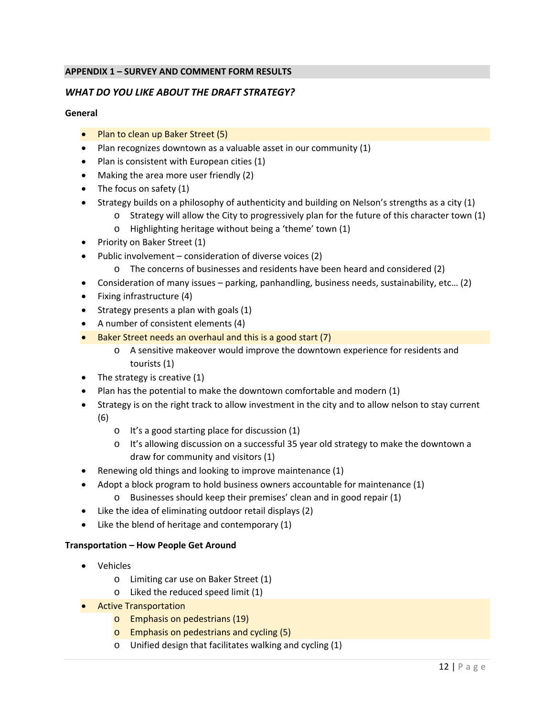### **APPENDIX 1 – SURVEY AND COMMENT FORM RESULTS**

### *WHAT DO YOU LIKE ABOUT THE DRAFT STRATEGY?*

#### **General**

- Plan to clean up Baker Street (5)
- Plan recognizes downtown as a valuable asset in our community (1)
- Plan is consistent with European cities (1)
- Making the area more user friendly (2)
- The focus on safety (1)
- **Strategy builds on a philosophy of authenticity and building on Nelson's strengths as a city (1)** 
	- o Strategy will allow the City to progressively plan for the future of this character town (1)
	- o Highlighting heritage without being a 'theme' town (1)
- Priority on Baker Street (1)
- Public involvement consideration of diverse voices (2)
	- o The concerns of businesses and residents have been heard and considered (2)
- Consideration of many issues parking, panhandling, business needs, sustainability, etc… (2)
- $\bullet$  Fixing infrastructure (4)
- $\bullet$  Strategy presents a plan with goals (1)
- A number of consistent elements (4)
- Baker Street needs an overhaul and this is a good start (7)
	- o A sensitive makeover would improve the downtown experience for residents and tourists (1)
- $\bullet$  The strategy is creative (1)
- Plan has the potential to make the downtown comfortable and modern (1)
- Strategy is on the right track to allow investment in the city and to allow nelson to stay current (6)
	- o It's a good starting place for discussion (1)
	- o It's allowing discussion on a successful 35 year old strategy to make the downtown a draw for community and visitors (1)
- Renewing old things and looking to improve maintenance (1)
- Adopt a block program to hold business owners accountable for maintenance (1)
	- o Businesses should keep their premises' clean and in good repair (1)
- Like the idea of eliminating outdoor retail displays (2)
- Like the blend of heritage and contemporary (1)

#### **Transportation – How People Get Around**

- Vehicles
	- o Limiting car use on Baker Street (1)
	- o Liked the reduced speed limit (1)
- **•** Active Transportation
	- o Emphasis on pedestrians (19)
	- o Emphasis on pedestrians and cycling (5)
	- o Unified design that facilitates walking and cycling (1)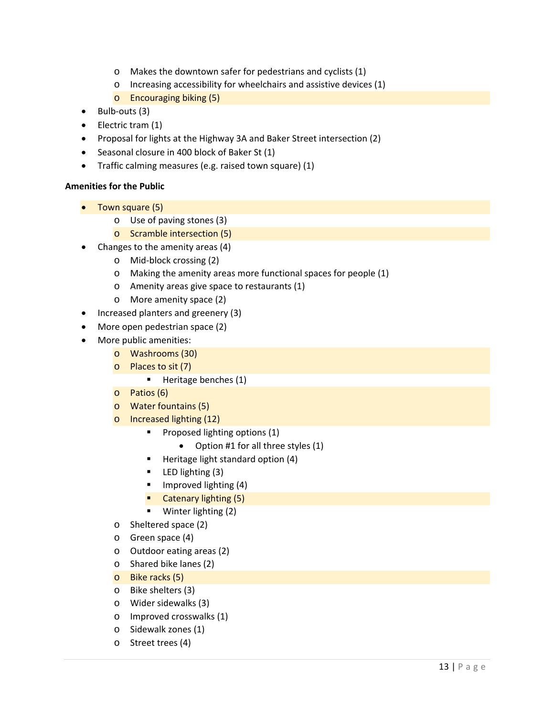- o Makes the downtown safer for pedestrians and cyclists (1)
- o Increasing accessibility for wheelchairs and assistive devices (1)
- o Encouraging biking (5)
- $\bullet$  Bulb-outs (3)
- Electric tram (1)
- Proposal for lights at the Highway 3A and Baker Street intersection (2)
- Seasonal closure in 400 block of Baker St (1)
- Traffic calming measures (e.g. raised town square) (1)

### **Amenities for the Public**

- Town square (5)
	- o Use of paving stones (3)
	- o Scramble intersection (5)
- Changes to the amenity areas (4)
	- o Mid‐block crossing (2)
	- o Making the amenity areas more functional spaces for people (1)
	- o Amenity areas give space to restaurants (1)
	- o More amenity space (2)
- Increased planters and greenery (3)
- More open pedestrian space (2)
- More public amenities:
	- o Washrooms (30)
	- o Places to sit (7)
		- **Heritage benches (1)**
	- o Patios (6)
	- o Water fountains (5)
	- o Increased lighting (12)
		- **Proposed lighting options (1)** 
			- Option #1 for all three styles (1)
		- Heritage light standard option (4)
		- **LED** lighting (3)
		- $\blacksquare$  Improved lighting (4)
		- **Catenary lighting (5)**
		- Winter lighting (2)
	- o Sheltered space (2)
	- o Green space (4)
	- o Outdoor eating areas (2)
	- o Shared bike lanes (2)
	- o Bike racks (5)
	- o Bike shelters (3)
	- o Wider sidewalks (3)
	- o Improved crosswalks (1)
	- o Sidewalk zones (1)
	- o Street trees (4)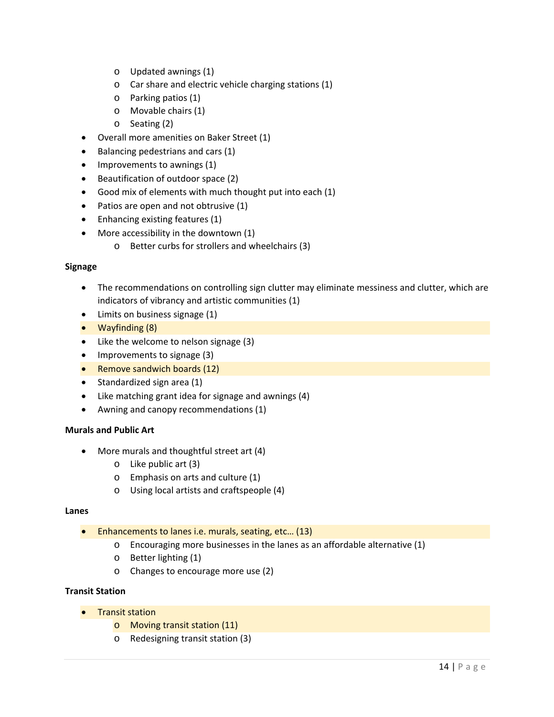- o Updated awnings (1)
- o Car share and electric vehicle charging stations (1)
- o Parking patios (1)
- o Movable chairs (1)
- o Seating (2)
- Overall more amenities on Baker Street (1)
- $\bullet$  Balancing pedestrians and cars (1)
- Improvements to awnings (1)
- Beautification of outdoor space (2)
- Good mix of elements with much thought put into each (1)
- Patios are open and not obtrusive (1)
- Enhancing existing features (1)
- More accessibility in the downtown (1)
	- o Better curbs for strollers and wheelchairs (3)

#### **Signage**

- The recommendations on controlling sign clutter may eliminate messiness and clutter, which are indicators of vibrancy and artistic communities (1)
- Limits on business signage (1)
- Wayfinding (8)
- Like the welcome to nelson signage (3)
- Improvements to signage (3)
- Remove sandwich boards (12)
- Standardized sign area (1)
- Like matching grant idea for signage and awnings (4)
- Awning and canopy recommendations (1)

#### **Murals and Public Art**

- More murals and thoughtful street art (4)
	- o Like public art (3)
	- o Emphasis on arts and culture (1)
	- o Using local artists and craftspeople (4)

#### **Lanes**

- Enhancements to lanes i.e. murals, seating, etc… (13)
	- o Encouraging more businesses in the lanes as an affordable alternative (1)
	- o Better lighting (1)
	- o Changes to encourage more use (2)

#### **Transit Station**

- Transit station
	- o Moving transit station (11)
	- o Redesigning transit station (3)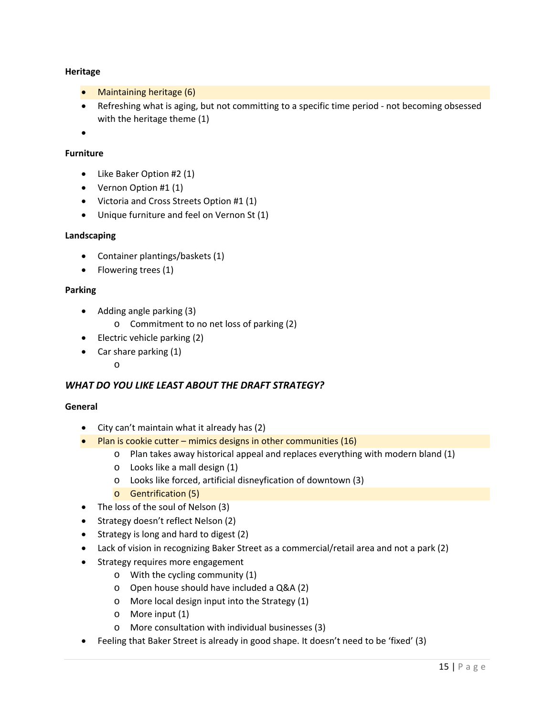#### **Heritage**

- Maintaining heritage (6)
- Refreshing what is aging, but not committing to a specific time period ‐ not becoming obsessed with the heritage theme (1)

 $\bullet$ 

#### **Furniture**

- Like Baker Option #2 (1)
- Vernon Option #1 (1)
- Victoria and Cross Streets Option #1 (1)
- Unique furniture and feel on Vernon St (1)

#### **Landscaping**

- Container plantings/baskets (1)
- Flowering trees (1)

#### **Parking**

- Adding angle parking (3)
	- o Commitment to no net loss of parking (2)
- Electric vehicle parking (2)
- Car share parking (1)
	- o

### *WHAT DO YOU LIKE LEAST ABOUT THE DRAFT STRATEGY?*

#### **General**

- City can't maintain what it already has (2)
- Plan is cookie cutter mimics designs in other communities  $(16)$ 
	- o Plan takes away historical appeal and replaces everything with modern bland (1)
	- o Looks like a mall design (1)
	- o Looks like forced, artificial disneyfication of downtown (3)
	- o Gentrification (5)
- The loss of the soul of Nelson (3)
- Strategy doesn't reflect Nelson (2)
- Strategy is long and hard to digest (2)
- Lack of vision in recognizing Baker Street as a commercial/retail area and not a park (2)
- Strategy requires more engagement
	- o With the cycling community (1)
	- o Open house should have included a Q&A (2)
	- o More local design input into the Strategy (1)
	- o More input (1)
	- o More consultation with individual businesses (3)
- Feeling that Baker Street is already in good shape. It doesn't need to be 'fixed' (3)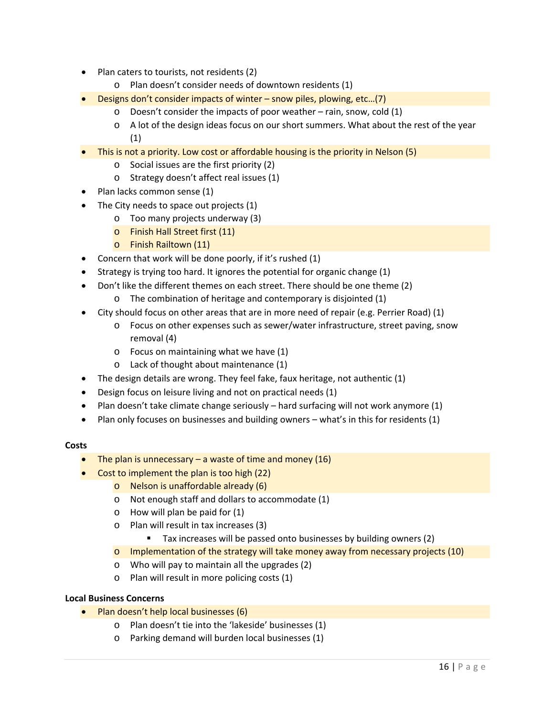- Plan caters to tourists, not residents (2)
	- o Plan doesn't consider needs of downtown residents (1)
- Designs don't consider impacts of winter snow piles, plowing, etc…(7)
	- o Doesn't consider the impacts of poor weather rain, snow, cold (1)
		- o A lot of the design ideas focus on our short summers. What about the rest of the year (1)
- This is not a priority. Low cost or affordable housing is the priority in Nelson (5)
	- o Social issues are the first priority (2)
	- o Strategy doesn't affect real issues (1)
- Plan lacks common sense (1)
- The City needs to space out projects (1)
	- o Too many projects underway (3)
	- o Finish Hall Street first (11)
	- o Finish Railtown (11)
- Concern that work will be done poorly, if it's rushed (1)
- $\bullet$  Strategy is trying too hard. It ignores the potential for organic change (1)
- Don't like the different themes on each street. There should be one theme (2)
	- o The combination of heritage and contemporary is disjointed (1)
- City should focus on other areas that are in more need of repair (e.g. Perrier Road) (1)
	- o Focus on other expenses such as sewer/water infrastructure, street paving, snow removal (4)
	- o Focus on maintaining what we have (1)
	- o Lack of thought about maintenance (1)
- The design details are wrong. They feel fake, faux heritage, not authentic (1)
- Design focus on leisure living and not on practical needs (1)
- Plan doesn't take climate change seriously hard surfacing will not work anymore (1)
- Plan only focuses on businesses and building owners what's in this for residents (1)

#### **Costs**

- The plan is unnecessary  $-$  a waste of time and money (16)
- Cost to implement the plan is too high (22)
	- o Nelson is unaffordable already (6)
	- o Not enough staff and dollars to accommodate (1)
	- o How will plan be paid for (1)
	- o Plan will result in tax increases (3)
		- Tax increases will be passed onto businesses by building owners (2)
	- o Implementation of the strategy will take money away from necessary projects (10)
	- o Who will pay to maintain all the upgrades (2)
	- o Plan will result in more policing costs (1)

### **Local Business Concerns**

- Plan doesn't help local businesses (6)
	- o Plan doesn't tie into the 'lakeside' businesses (1)
	- o Parking demand will burden local businesses (1)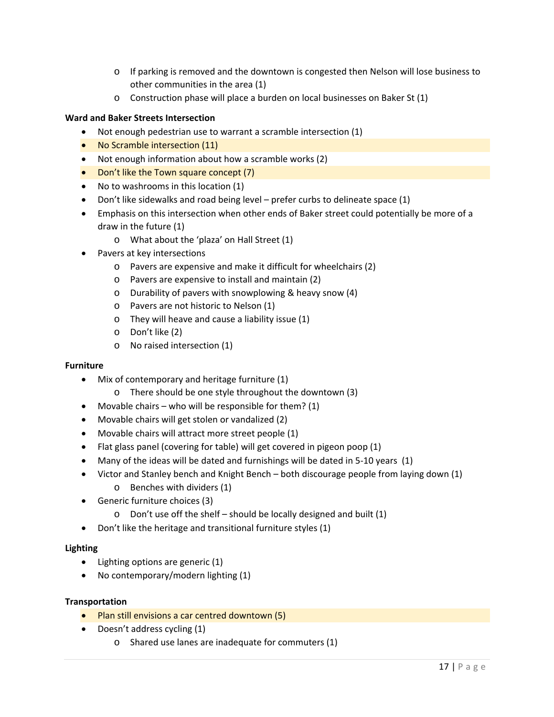- o If parking is removed and the downtown is congested then Nelson will lose business to other communities in the area (1)
- o Construction phase will place a burden on local businesses on Baker St (1)

#### **Ward and Baker Streets Intersection**

- Not enough pedestrian use to warrant a scramble intersection (1)
- No Scramble intersection (11)
- Not enough information about how a scramble works (2)
- Don't like the Town square concept (7)
- No to washrooms in this location (1)
- Don't like sidewalks and road being level prefer curbs to delineate space (1)
- Emphasis on this intersection when other ends of Baker street could potentially be more of a draw in the future (1)
	- o What about the 'plaza' on Hall Street (1)
- Pavers at key intersections
	- o Pavers are expensive and make it difficult for wheelchairs (2)
	- o Pavers are expensive to install and maintain (2)
	- o Durability of pavers with snowplowing & heavy snow (4)
	- o Pavers are not historic to Nelson (1)
	- o They will heave and cause a liability issue (1)
	- o Don't like (2)
	- o No raised intersection (1)

#### **Furniture**

- Mix of contemporary and heritage furniture (1)
	- o There should be one style throughout the downtown (3)
- Movable chairs who will be responsible for them?  $(1)$
- Movable chairs will get stolen or vandalized (2)
- Movable chairs will attract more street people (1)
- Flat glass panel (covering for table) will get covered in pigeon poop (1)
- Many of the ideas will be dated and furnishings will be dated in 5-10 years (1)
- Victor and Stanley bench and Knight Bench both discourage people from laying down (1)
	- o Benches with dividers (1)
	- Generic furniture choices (3)
		- o Don't use off the shelf should be locally designed and built (1)
- Don't like the heritage and transitional furniture styles (1)

#### **Lighting**

- Lighting options are generic (1)
- No contemporary/modern lighting (1)

#### **Transportation**

- Plan still envisions a car centred downtown (5)
- Doesn't address cycling (1)
	- o Shared use lanes are inadequate for commuters (1)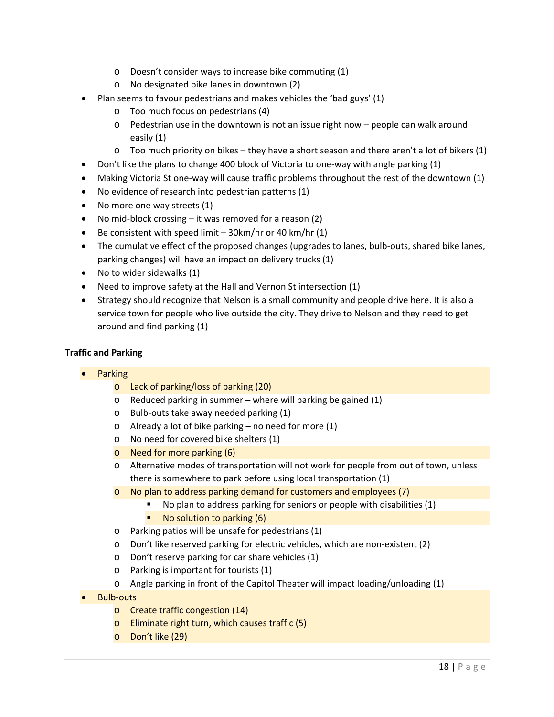- o Doesn't consider ways to increase bike commuting (1)
- o No designated bike lanes in downtown (2)
- Plan seems to favour pedestrians and makes vehicles the 'bad guys' (1)
	- o Too much focus on pedestrians (4)
	- o Pedestrian use in the downtown is not an issue right now people can walk around easily (1)
	- o Too much priority on bikes they have a short season and there aren't a lot of bikers (1)
- Don't like the plans to change 400 block of Victoria to one‐way with angle parking (1)
- Making Victoria St one-way will cause traffic problems throughout the rest of the downtown (1)
- No evidence of research into pedestrian patterns (1)
- No more one way streets (1)
- No mid-block crossing it was removed for a reason (2)
- Be consistent with speed limit  $-$  30km/hr or 40 km/hr (1)
- The cumulative effect of the proposed changes (upgrades to lanes, bulb-outs, shared bike lanes, parking changes) will have an impact on delivery trucks (1)
- No to wider sidewalks (1)
- Need to improve safety at the Hall and Vernon St intersection (1)
- Strategy should recognize that Nelson is a small community and people drive here. It is also a service town for people who live outside the city. They drive to Nelson and they need to get around and find parking (1)

#### **Traffic and Parking**

- Parking
	- o Lack of parking/loss of parking (20)
	- o Reduced parking in summer where will parking be gained (1)
	- o Bulb‐outs take away needed parking (1)
	- o Already a lot of bike parking no need for more (1)
	- o No need for covered bike shelters (1)
	- o Need for more parking (6)
	- o Alternative modes of transportation will not work for people from out of town, unless there is somewhere to park before using local transportation (1)
	- o No plan to address parking demand for customers and employees (7)
		- No plan to address parking for seniors or people with disabilities (1)
			- No solution to parking (6)
	- o Parking patios will be unsafe for pedestrians (1)
	- o Don't like reserved parking for electric vehicles, which are non‐existent (2)
	- o Don't reserve parking for car share vehicles (1)
	- o Parking is important for tourists (1)
	- o Angle parking in front of the Capitol Theater will impact loading/unloading (1)
- Bulb‐outs
	- o Create traffic congestion (14)
	- o Eliminate right turn, which causes traffic (5)
	- o Don't like (29)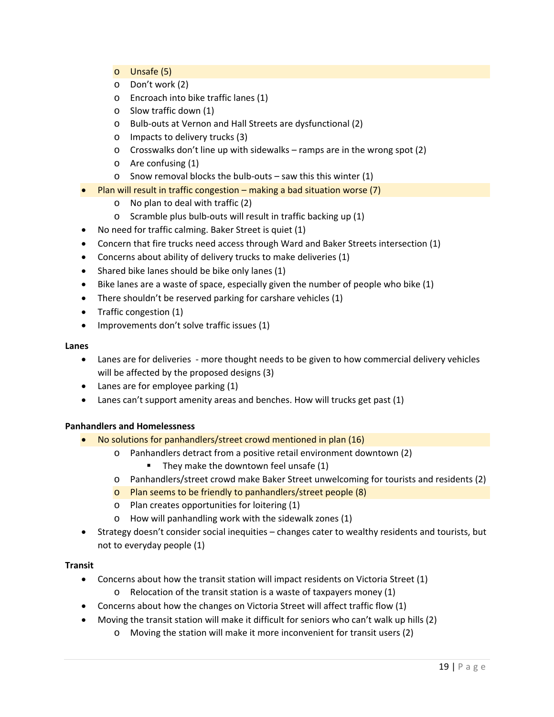- o Unsafe (5)
- o Don't work (2)
- o Encroach into bike traffic lanes (1)
- o Slow traffic down (1)
- o Bulb‐outs at Vernon and Hall Streets are dysfunctional (2)
- o Impacts to delivery trucks (3)
- $\circ$  Crosswalks don't line up with sidewalks ramps are in the wrong spot (2)
- o Are confusing (1)
- o Snow removal blocks the bulb‐outs saw this this winter (1)
- Plan will result in traffic congestion making a bad situation worse (7)
	- o No plan to deal with traffic (2)
	- o Scramble plus bulb‐outs will result in traffic backing up (1)
- No need for traffic calming. Baker Street is quiet (1)
- Concern that fire trucks need access through Ward and Baker Streets intersection (1)
- Concerns about ability of delivery trucks to make deliveries (1)
- $\bullet$  Shared bike lanes should be bike only lanes (1)
- $\bullet$  Bike lanes are a waste of space, especially given the number of people who bike (1)
- There shouldn't be reserved parking for carshare vehicles (1)
- Traffic congestion (1)
- Improvements don't solve traffic issues (1)

#### **Lanes**

- Lanes are for deliveries more thought needs to be given to how commercial delivery vehicles will be affected by the proposed designs (3)
- Lanes are for employee parking (1)
- Lanes can't support amenity areas and benches. How will trucks get past (1)

### **Panhandlers and Homelessness**

- No solutions for panhandlers/street crowd mentioned in plan (16)
	- o Panhandlers detract from a positive retail environment downtown (2)
		- They make the downtown feel unsafe  $(1)$
	- o Panhandlers/street crowd make Baker Street unwelcoming for tourists and residents (2)
	- o Plan seems to be friendly to panhandlers/street people (8)
	- o Plan creates opportunities for loitering (1)
	- o How will panhandling work with the sidewalk zones (1)
- Strategy doesn't consider social inequities changes cater to wealthy residents and tourists, but not to everyday people (1)

#### **Transit**

- Concerns about how the transit station will impact residents on Victoria Street (1)
	- $\circ$  Relocation of the transit station is a waste of taxpayers money (1)
- Concerns about how the changes on Victoria Street will affect traffic flow (1)
- Moving the transit station will make it difficult for seniors who can't walk up hills (2)
	- o Moving the station will make it more inconvenient for transit users (2)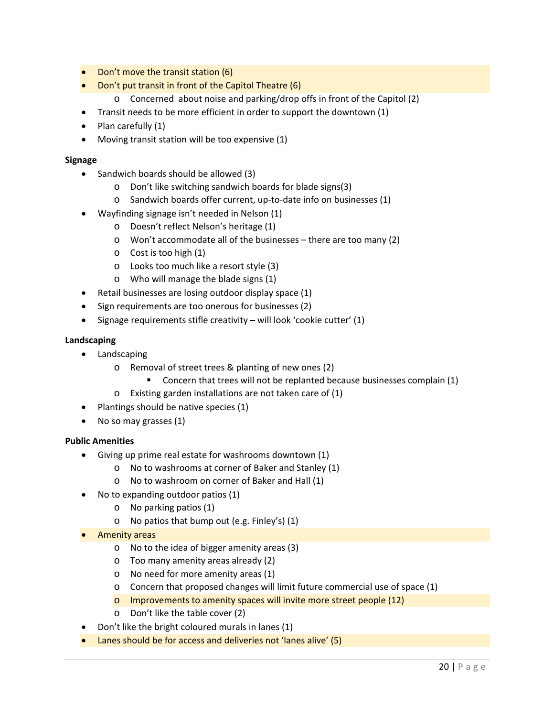- Don't move the transit station (6)
- Don't put transit in front of the Capitol Theatre (6)
	- o Concerned about noise and parking/drop offs in front of the Capitol (2)
- Transit needs to be more efficient in order to support the downtown (1)
- $\bullet$  Plan carefully  $(1)$
- Moving transit station will be too expensive (1)

#### **Signage**

- Sandwich boards should be allowed (3)
	- o Don't like switching sandwich boards for blade signs(3)
	- o Sandwich boards offer current, up‐to‐date info on businesses (1)
- Wayfinding signage isn't needed in Nelson (1)
	- o Doesn't reflect Nelson's heritage (1)
	- o Won't accommodate all of the businesses there are too many (2)
	- o Cost is too high (1)
	- o Looks too much like a resort style (3)
	- o Who will manage the blade signs (1)
- Retail businesses are losing outdoor display space (1)
- Sign requirements are too onerous for businesses (2)
- $\bullet$  Signage requirements stifle creativity will look 'cookie cutter' (1)

#### **Landscaping**

- **•** Landscaping
	- o Removal of street trees & planting of new ones (2)
		- **Concern that trees will not be replanted because businesses complain (1)**
	- o Existing garden installations are not taken care of (1)
- Plantings should be native species (1)
- No so may grasses (1)

#### **Public Amenities**

- Giving up prime real estate for washrooms downtown (1)
	- o No to washrooms at corner of Baker and Stanley (1)
	- o No to washroom on corner of Baker and Hall (1)
- No to expanding outdoor patios (1)
	- o No parking patios (1)
	- o No patios that bump out (e.g. Finley's) (1)
- Amenity areas
	- o No to the idea of bigger amenity areas (3)
	- o Too many amenity areas already (2)
	- o No need for more amenity areas (1)
	- o Concern that proposed changes will limit future commercial use of space (1)
	- o Improvements to amenity spaces will invite more street people (12)
	- o Don't like the table cover (2)
- Don't like the bright coloured murals in lanes (1)
- Lanes should be for access and deliveries not 'lanes alive' (5)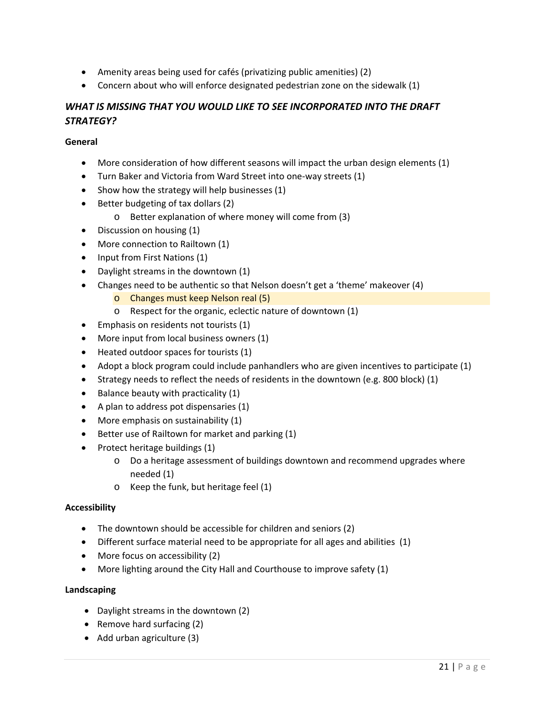- Amenity areas being used for cafés (privatizing public amenities) (2)
- Concern about who will enforce designated pedestrian zone on the sidewalk (1)

# *WHAT IS MISSING THAT YOU WOULD LIKE TO SEE INCORPORATED INTO THE DRAFT STRATEGY?*

### **General**

- More consideration of how different seasons will impact the urban design elements (1)
- Turn Baker and Victoria from Ward Street into one‐way streets (1)
- $\bullet$  Show how the strategy will help businesses (1)
- Better budgeting of tax dollars (2)
	- o Better explanation of where money will come from (3)
- Discussion on housing (1)
- More connection to Railtown (1)
- Input from First Nations (1)
- Daylight streams in the downtown (1)
- Changes need to be authentic so that Nelson doesn't get a 'theme' makeover (4)
	- o Changes must keep Nelson real (5)
	- o Respect for the organic, eclectic nature of downtown (1)
- **Emphasis on residents not tourists (1)**
- More input from local business owners (1)
- Heated outdoor spaces for tourists (1)
- Adopt a block program could include panhandlers who are given incentives to participate (1)
- Strategy needs to reflect the needs of residents in the downtown (e.g. 800 block)  $(1)$
- $\bullet$  Balance beauty with practicality (1)
- A plan to address pot dispensaries (1)
- More emphasis on sustainability (1)
- $\bullet$  Better use of Railtown for market and parking (1)
- Protect heritage buildings (1)
	- o Do a heritage assessment of buildings downtown and recommend upgrades where needed (1)
	- o Keep the funk, but heritage feel (1)

#### **Accessibility**

- The downtown should be accessible for children and seniors (2)
- Different surface material need to be appropriate for all ages and abilities (1)
- More focus on accessibility (2)
- More lighting around the City Hall and Courthouse to improve safety (1)

#### **Landscaping**

- Daylight streams in the downtown (2)
- Remove hard surfacing  $(2)$
- Add urban agriculture (3)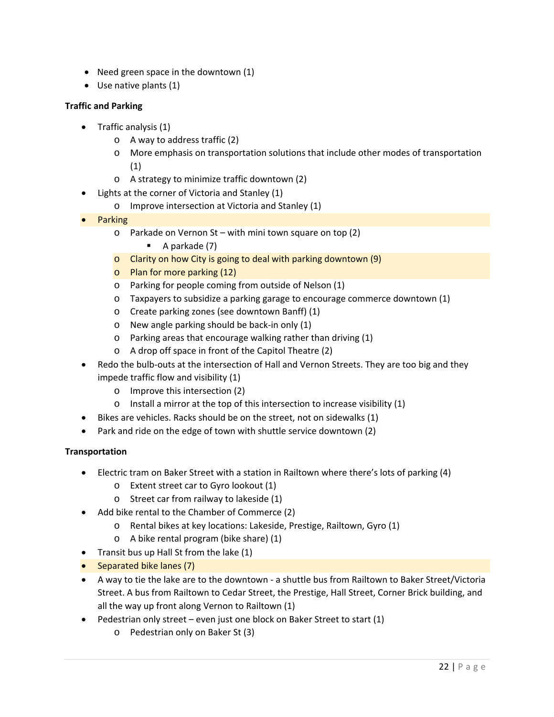- Need green space in the downtown (1)
- Use native plants (1)

### **Traffic and Parking**

- Traffic analysis (1)
	- o A way to address traffic (2)
	- o More emphasis on transportation solutions that include other modes of transportation (1)
	- o A strategy to minimize traffic downtown (2)
	- Lights at the corner of Victoria and Stanley (1)
		- o Improve intersection at Victoria and Stanley (1)
- Parking
	- o Parkade on Vernon St with mini town square on top (2)
		- $\blacksquare$  A parkade (7)
	- $\circ$  Clarity on how City is going to deal with parking downtown (9)
	- o Plan for more parking (12)
	- o Parking for people coming from outside of Nelson (1)
	- o Taxpayers to subsidize a parking garage to encourage commerce downtown (1)
	- o Create parking zones (see downtown Banff) (1)
	- o New angle parking should be back‐in only (1)
	- o Parking areas that encourage walking rather than driving (1)
	- o A drop off space in front of the Capitol Theatre (2)
- Redo the bulb‐outs at the intersection of Hall and Vernon Streets. They are too big and they impede traffic flow and visibility (1)
	- o Improve this intersection (2)
	- o Install a mirror at the top of this intersection to increase visibility (1)
- Bikes are vehicles. Racks should be on the street, not on sidewalks (1)
- Park and ride on the edge of town with shuttle service downtown (2)

#### **Transportation**

- Electric tram on Baker Street with a station in Railtown where there's lots of parking (4)
	- o Extent street car to Gyro lookout (1)
	- o Street car from railway to lakeside (1)
- Add bike rental to the Chamber of Commerce (2)
	- o Rental bikes at key locations: Lakeside, Prestige, Railtown, Gyro (1)
	- o A bike rental program (bike share) (1)
- Transit bus up Hall St from the lake (1)
- Separated bike lanes (7)
- A way to tie the lake are to the downtown ‐ a shuttle bus from Railtown to Baker Street/Victoria Street. A bus from Railtown to Cedar Street, the Prestige, Hall Street, Corner Brick building, and all the way up front along Vernon to Railtown (1)
- Pedestrian only street even just one block on Baker Street to start (1)
	- o Pedestrian only on Baker St (3)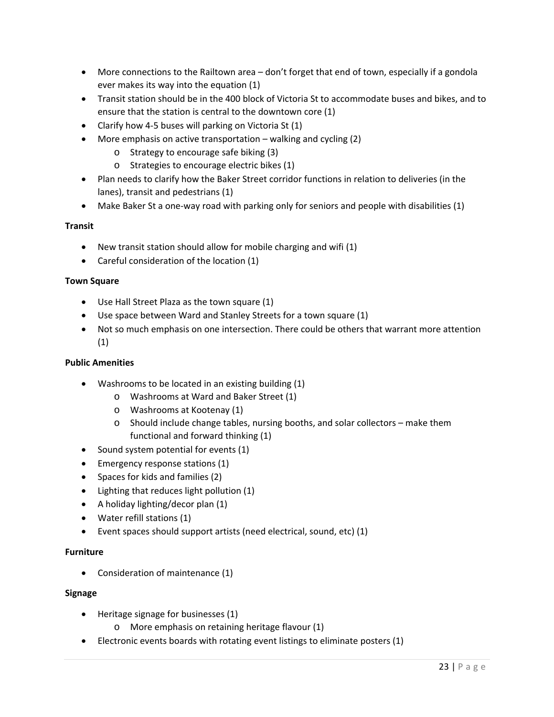- More connections to the Railtown area don't forget that end of town, especially if a gondola ever makes its way into the equation (1)
- Transit station should be in the 400 block of Victoria St to accommodate buses and bikes, and to ensure that the station is central to the downtown core (1)
- Clarify how 4-5 buses will parking on Victoria St (1)
- More emphasis on active transportation walking and cycling (2)
	- o Strategy to encourage safe biking (3)
	- o Strategies to encourage electric bikes (1)
- Plan needs to clarify how the Baker Street corridor functions in relation to deliveries (in the lanes), transit and pedestrians (1)
- Make Baker St a one-way road with parking only for seniors and people with disabilities (1)

#### **Transit**

- New transit station should allow for mobile charging and wifi (1)
- Careful consideration of the location (1)

#### **Town Square**

- Use Hall Street Plaza as the town square (1)
- Use space between Ward and Stanley Streets for a town square (1)
- Not so much emphasis on one intersection. There could be others that warrant more attention (1)

#### **Public Amenities**

- Washrooms to be located in an existing building (1)
	- o Washrooms at Ward and Baker Street (1)
	- o Washrooms at Kootenay (1)
	- o Should include change tables, nursing booths, and solar collectors make them functional and forward thinking (1)
- $\bullet$  Sound system potential for events (1)
- Emergency response stations (1)
- Spaces for kids and families (2)
- Lighting that reduces light pollution (1)
- A holiday lighting/decor plan (1)
- Water refill stations (1)
- Event spaces should support artists (need electrical, sound, etc) (1)

#### **Furniture**

• Consideration of maintenance (1)

#### **Signage**

- Heritage signage for businesses (1)
	- o More emphasis on retaining heritage flavour (1)
- Electronic events boards with rotating event listings to eliminate posters (1)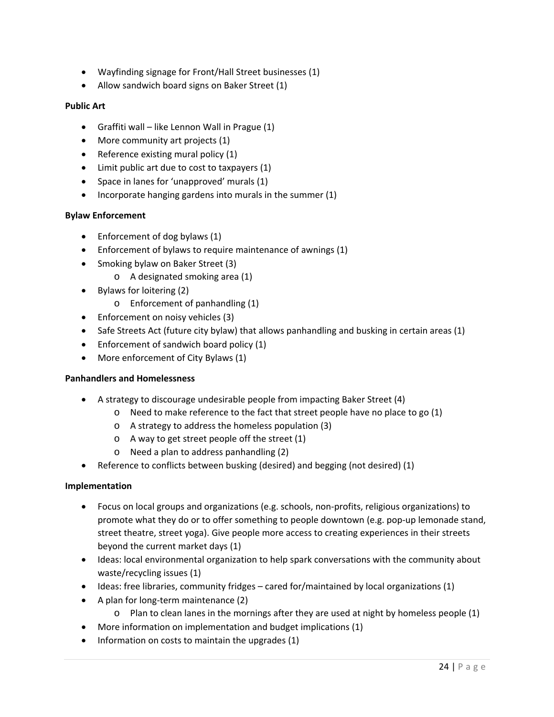- Wayfinding signage for Front/Hall Street businesses (1)
- Allow sandwich board signs on Baker Street (1)

### **Public Art**

- Graffiti wall like Lennon Wall in Prague (1)
- More community art projects (1)
- Reference existing mural policy (1)
- Limit public art due to cost to taxpayers (1)
- Space in lanes for 'unapproved' murals (1)
- $\bullet$  Incorporate hanging gardens into murals in the summer (1)

#### **Bylaw Enforcement**

- Enforcement of dog bylaws (1)
- Enforcement of bylaws to require maintenance of awnings (1)
- Smoking bylaw on Baker Street (3)
	- o A designated smoking area (1)
- Bylaws for loitering (2)
	- o Enforcement of panhandling (1)
- Enforcement on noisy vehicles (3)
- Safe Streets Act (future city bylaw) that allows panhandling and busking in certain areas (1)
- Enforcement of sandwich board policy (1)
- More enforcement of City Bylaws (1)

#### **Panhandlers and Homelessness**

- A strategy to discourage undesirable people from impacting Baker Street (4)
	- o Need to make reference to the fact that street people have no place to go (1)
	- o A strategy to address the homeless population (3)
	- $\circ$  A way to get street people off the street (1)
	- o Need a plan to address panhandling (2)
- Reference to conflicts between busking (desired) and begging (not desired) (1)

#### **Implementation**

- Focus on local groups and organizations (e.g. schools, non‐profits, religious organizations) to promote what they do or to offer something to people downtown (e.g. pop‐up lemonade stand, street theatre, street yoga). Give people more access to creating experiences in their streets beyond the current market days (1)
- Ideas: local environmental organization to help spark conversations with the community about waste/recycling issues (1)
- Ideas: free libraries, community fridges cared for/maintained by local organizations (1)
- A plan for long-term maintenance (2)
	- $\circ$  Plan to clean lanes in the mornings after they are used at night by homeless people (1)
- More information on implementation and budget implications (1)
- $\bullet$  Information on costs to maintain the upgrades (1)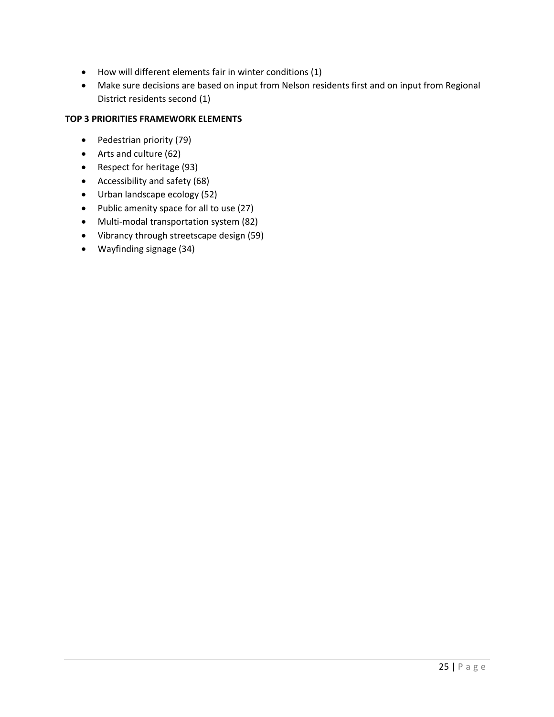- How will different elements fair in winter conditions (1)
- Make sure decisions are based on input from Nelson residents first and on input from Regional District residents second (1)

### **TOP 3 PRIORITIES FRAMEWORK ELEMENTS**

- Pedestrian priority (79)
- Arts and culture (62)
- Respect for heritage (93)
- Accessibility and safety (68)
- Urban landscape ecology (52)
- Public amenity space for all to use (27)
- Multi-modal transportation system (82)
- Vibrancy through streetscape design (59)
- Wayfinding signage (34)